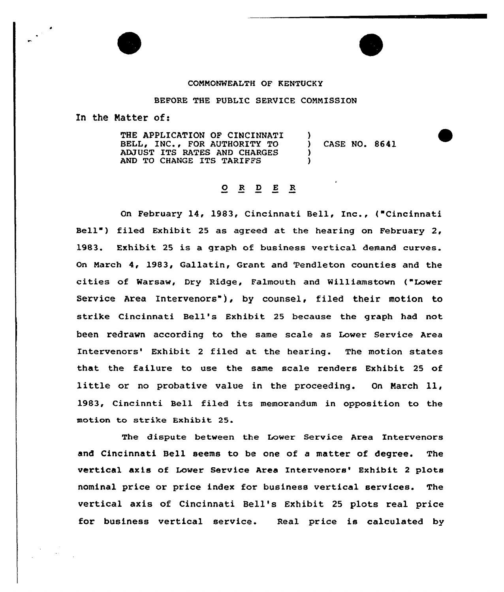

## BEFORE THE PUBLIC SERVICE CONNISSION

In the Matter of:

THE APPLICATION OF CINCINNATI BELL, INC., FOR AUTHORITY TO ADJUST ITS RATES AND CHARGES AND TO CHANGE ITS TARIFFS ) ) CASE NO. 8641 ) )

## $\begin{array}{cccccccccccccc} O & R & D & E & R \\ \end{array}$

On February 14, 1983, Cincinnati Bell, Inc., ("Cincinnati Bell") filed Exhibit 25 as agreed at the hearing on February 2, 1983. Exhibit 25 is a graph of business vertical demand curves. On March 4, 1983, Gallatin, Grant and 'Pendleton counties and the cities of Warsaw, Dry Ridge, Falmouth and Williamstown ("Lower Service Area Intervenors"), by counsel, filed their motion to strike Cincinnati Bell's Exhibit 25 because the graph had not been redrawn according to the same scale as Lower Service Area Intervenors' Exhibit 2 filed at the hearing. The motion states that the failure to use the same scale renders Exhibit 25 of little or no probative value in the proceeding. On Narch ll, 1983, Cincinnti Bell filed its memorandum in opposition to the motion to strike Exhibit 25.

The dispute between the Lower Service Area Intervenors and Cincinnati Bell seems to be one of a matter of degree. The vertical axis of Lower Service Area Intervenors' Exhibit 2 plots nominal price or price index for business vertical services. The vertical axis of Cincinnati Bell's Exhibit <sup>25</sup> plots real price for business vertical service. Real price is calculated by